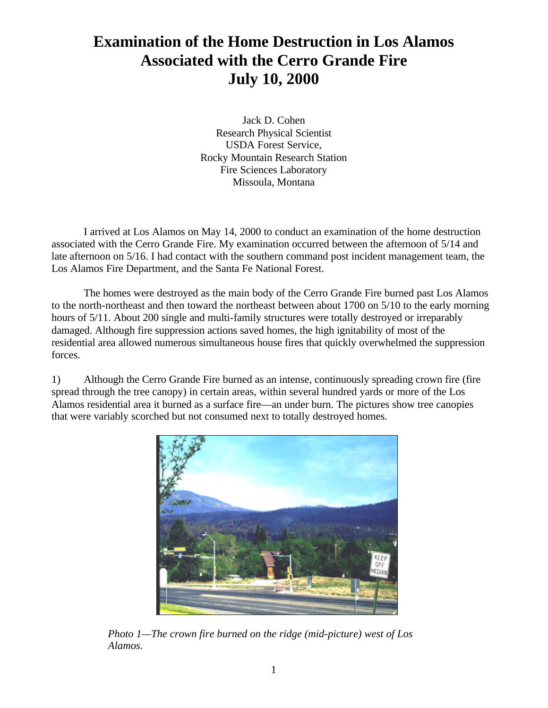## **Examination of the Home Destruction in Los Alamos Associated with the Cerro Grande Fire July 10, 2000**

Jack D. Cohen Research Physical Scientist USDA Forest Service, Rocky Mountain Research Station Fire Sciences Laboratory Missoula, Montana

I arrived at Los Alamos on May 14, 2000 to conduct an examination of the home destruction associated with the Cerro Grande Fire. My examination occurred between the afternoon of 5/14 and late afternoon on 5/16. I had contact with the southern command post incident management team, the Los Alamos Fire Department, and the Santa Fe National Forest.

The homes were destroyed as the main body of the Cerro Grande Fire burned past Los Alamos to the north-northeast and then toward the northeast between about 1700 on 5/10 to the early morning hours of 5/11. About 200 single and multi-family structures were totally destroyed or irreparably damaged. Although fire suppression actions saved homes, the high ignitability of most of the residential area allowed numerous simultaneous house fires that quickly overwhelmed the suppression forces.

1) Although the Cerro Grande Fire burned as an intense, continuously spreading crown fire (fire spread through the tree canopy) in certain areas, within several hundred yards or more of the Los Alamos residential area it burned as a surface fire—an under burn. The pictures show tree canopies that were variably scorched but not consumed next to totally destroyed homes.



*Photo 1—The crown fire burned on the ridge (mid-picture) west of Los Alamos.*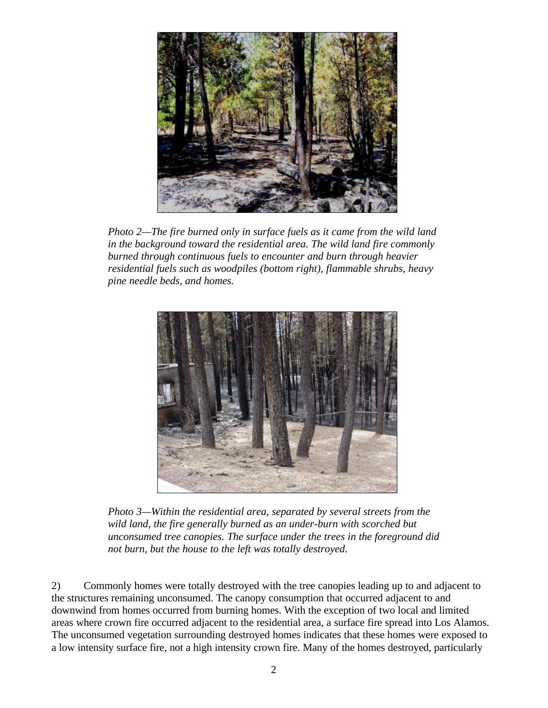

*Photo 2—The fire burned only in surface fuels as it came from the wild land in the background toward the residential area. The wild land fire commonly burned through continuous fuels to encounter and burn through heavier residential fuels such as woodpiles (bottom right), flammable shrubs, heavy pine needle beds, and homes.*



*Photo 3—Within the residential area, separated by several streets from the wild land, the fire generally burned as an under-burn with scorched but unconsumed tree canopies. The surface under the trees in the foreground did not burn, but the house to the left was totally destroyed.*

2) Commonly homes were totally destroyed with the tree canopies leading up to and adjacent to the structures remaining unconsumed. The canopy consumption that occurred adjacent to and downwind from homes occurred from burning homes. With the exception of two local and limited areas where crown fire occurred adjacent to the residential area, a surface fire spread into Los Alamos. The unconsumed vegetation surrounding destroyed homes indicates that these homes were exposed to a low intensity surface fire, not a high intensity crown fire. Many of the homes destroyed, particularly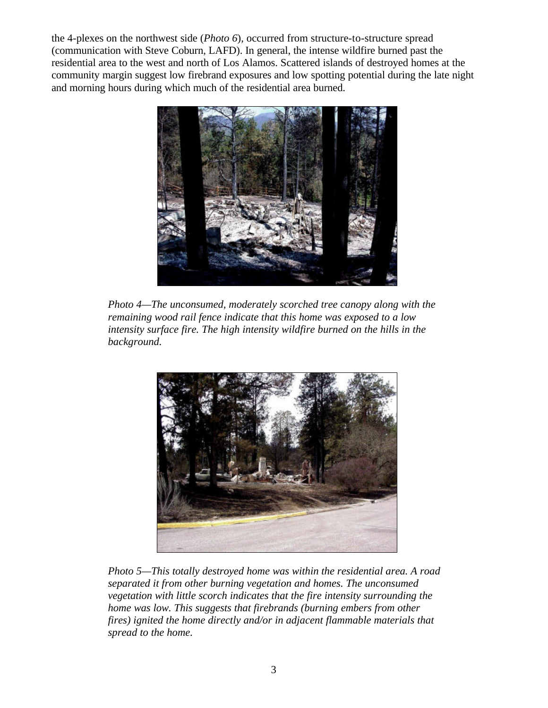the 4-plexes on the northwest side (*Photo 6*), occurred from structure-to-structure spread (communication with Steve Coburn, LAFD). In general, the intense wildfire burned past the residential area to the west and north of Los Alamos. Scattered islands of destroyed homes at the community margin suggest low firebrand exposures and low spotting potential during the late night and morning hours during which much of the residential area burned.



*Photo 4—The unconsumed, moderately scorched tree canopy along with the remaining wood rail fence indicate that this home was exposed to a low intensity surface fire. The high intensity wildfire burned on the hills in the background.*



*Photo 5—This totally destroyed home was within the residential area. A road separated it from other burning vegetation and homes. The unconsumed vegetation with little scorch indicates that the fire intensity surrounding the home was low. This suggests that firebrands (burning embers from other fires) ignited the home directly and/or in adjacent flammable materials that spread to the home.*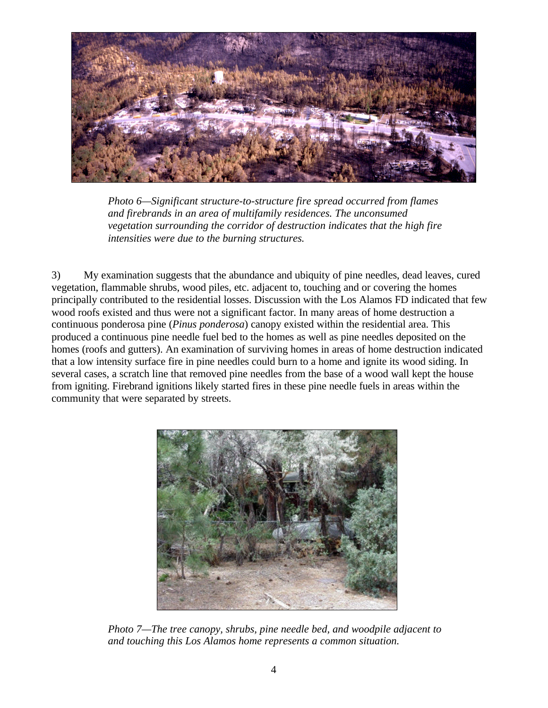

*Photo 6—Significant structure-to-structure fire spread occurred from flames and firebrands in an area of multifamily residences. The unconsumed vegetation surrounding the corridor of destruction indicates that the high fire intensities were due to the burning structures.*

3) My examination suggests that the abundance and ubiquity of pine needles, dead leaves, cured vegetation, flammable shrubs, wood piles, etc. adjacent to, touching and or covering the homes principally contributed to the residential losses. Discussion with the Los Alamos FD indicated that few wood roofs existed and thus were not a significant factor. In many areas of home destruction a continuous ponderosa pine (*Pinus ponderosa*) canopy existed within the residential area. This produced a continuous pine needle fuel bed to the homes as well as pine needles deposited on the homes (roofs and gutters). An examination of surviving homes in areas of home destruction indicated that a low intensity surface fire in pine needles could burn to a home and ignite its wood siding. In several cases, a scratch line that removed pine needles from the base of a wood wall kept the house from igniting. Firebrand ignitions likely started fires in these pine needle fuels in areas within the community that were separated by streets.



*Photo 7—The tree canopy, shrubs, pine needle bed, and woodpile adjacent to and touching this Los Alamos home represents a common situation.*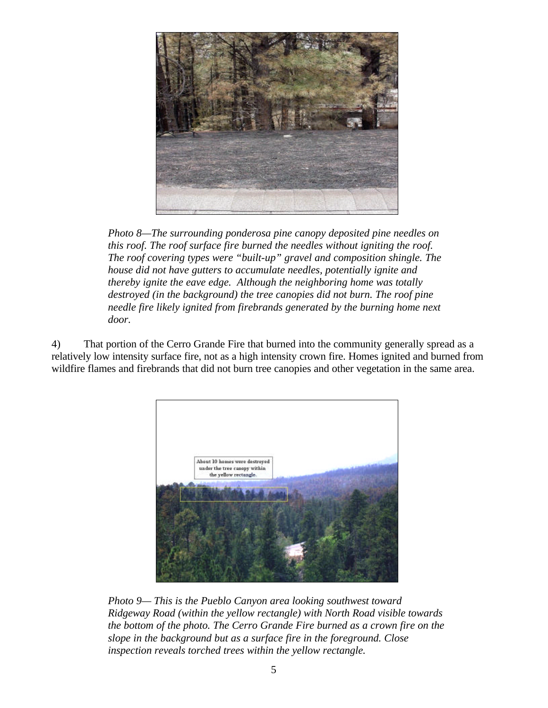

*Photo 8—The surrounding ponderosa pine canopy deposited pine needles on this roof. The roof surface fire burned the needles without igniting the roof. The roof covering types were "built-up" gravel and composition shingle. The house did not have gutters to accumulate needles, potentially ignite and thereby ignite the eave edge. Although the neighboring home was totally destroyed (in the background) the tree canopies did not burn. The roof pine needle fire likely ignited from firebrands generated by the burning home next door.* 

4) That portion of the Cerro Grande Fire that burned into the community generally spread as a relatively low intensity surface fire, not as a high intensity crown fire. Homes ignited and burned from wildfire flames and firebrands that did not burn tree canopies and other vegetation in the same area.



*Photo 9— This is the Pueblo Canyon area looking southwest toward Ridgeway Road (within the yellow rectangle) with North Road visible towards the bottom of the photo. The Cerro Grande Fire burned as a crown fire on the slope in the background but as a surface fire in the foreground. Close inspection reveals torched trees within the yellow rectangle.*